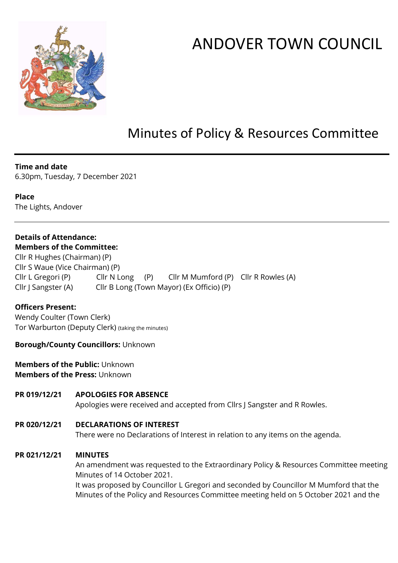

# ANDOVER TOWN COUNCIL

# Minutes of Policy & Resources Committee

# **Time and date**

6.30pm, Tuesday, 7 December 2021

**Place** The Lights, Andover

#### **Details of Attendance: Members of the Committee:**

Cllr R Hughes (Chairman) (P) Cllr S Waue (Vice Chairman) (P) Cllr L Gregori (P) Cllr N Long (P) Cllr M Mumford (P) Cllr R Rowles (A) Cllr J Sangster (A) Cllr B Long (Town Mayor) (Ex Officio) (P)

# **Officers Present:**

Wendy Coulter (Town Clerk) Tor Warburton (Deputy Clerk) (taking the minutes)

#### **Borough/County Councillors:** Unknown

**Members of the Public:** Unknown **Members of the Press:** Unknown

# **PR 019/12/21 APOLOGIES FOR ABSENCE**

Apologies were received and accepted from Cllrs J Sangster and R Rowles.

# **PR 020/12/21 DECLARATIONS OF INTEREST**

There were no Declarations of Interest in relation to any items on the agenda.

# **PR 021/12/21 MINUTES**

An amendment was requested to the Extraordinary Policy & Resources Committee meeting Minutes of 14 October 2021.

It was proposed by Councillor L Gregori and seconded by Councillor M Mumford that the Minutes of the Policy and Resources Committee meeting held on 5 October 2021 and the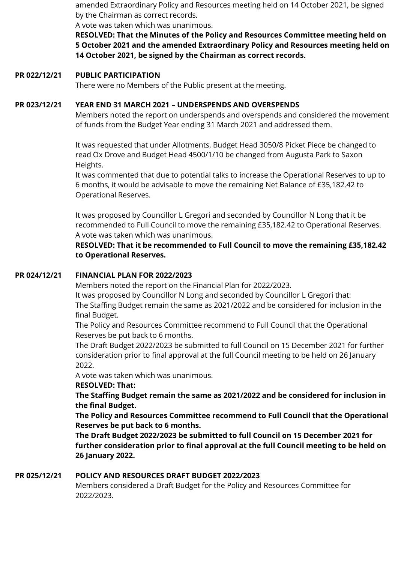amended Extraordinary Policy and Resources meeting held on 14 October 2021, be signed by the Chairman as correct records.

A vote was taken which was unanimous.

**RESOLVED: That the Minutes of the Policy and Resources Committee meeting held on 5 October 2021 and the amended Extraordinary Policy and Resources meeting held on 14 October 2021, be signed by the Chairman as correct records.**

#### **PR 022/12/21 PUBLIC PARTICIPATION**

There were no Members of the Public present at the meeting.

#### **PR 023/12/21 YEAR END 31 MARCH 2021 – UNDERSPENDS AND OVERSPENDS**

Members noted the report on underspends and overspends and considered the movement of funds from the Budget Year ending 31 March 2021 and addressed them.

It was requested that under Allotments, Budget Head 3050/8 Picket Piece be changed to read Ox Drove and Budget Head 4500/1/10 be changed from Augusta Park to Saxon Heights.

It was commented that due to potential talks to increase the Operational Reserves to up to 6 months, it would be advisable to move the remaining Net Balance of £35,182.42 to Operational Reserves.

It was proposed by Councillor L Gregori and seconded by Councillor N Long that it be recommended to Full Council to move the remaining £35,182.42 to Operational Reserves. A vote was taken which was unanimous.

# **RESOLVED: That it be recommended to Full Council to move the remaining £35,182.42 to Operational Reserves.**

#### **PR 024/12/21 FINANCIAL PLAN FOR 2022/2023**

Members noted the report on the Financial Plan for 2022/2023.

It was proposed by Councillor N Long and seconded by Councillor L Gregori that: The Staffing Budget remain the same as 2021/2022 and be considered for inclusion in the final Budget.

The Policy and Resources Committee recommend to Full Council that the Operational Reserves be put back to 6 months.

The Draft Budget 2022/2023 be submitted to full Council on 15 December 2021 for further consideration prior to final approval at the full Council meeting to be held on 26 January 2022.

A vote was taken which was unanimous.

#### **RESOLVED: That:**

**The Staffing Budget remain the same as 2021/2022 and be considered for inclusion in the final Budget.**

**The Policy and Resources Committee recommend to Full Council that the Operational Reserves be put back to 6 months.**

**The Draft Budget 2022/2023 be submitted to full Council on 15 December 2021 for further consideration prior to final approval at the full Council meeting to be held on 26 January 2022.**

#### **PR 025/12/21 POLICY AND RESOURCES DRAFT BUDGET 2022/2023**

Members considered a Draft Budget for the Policy and Resources Committee for 2022/2023.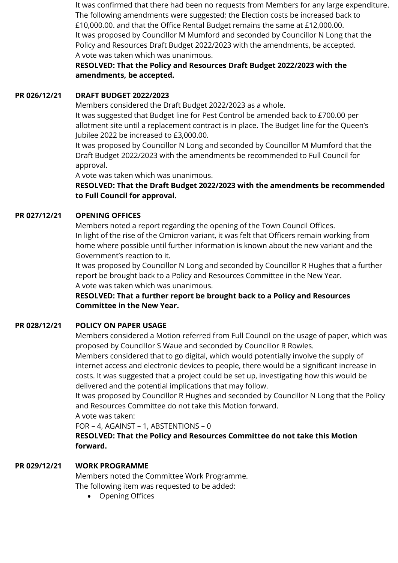It was confirmed that there had been no requests from Members for any large expenditure. The following amendments were suggested; the Election costs be increased back to £10,000.00. and that the Office Rental Budget remains the same at £12,000.00. It was proposed by Councillor M Mumford and seconded by Councillor N Long that the Policy and Resources Draft Budget 2022/2023 with the amendments, be accepted. A vote was taken which was unanimous.

**RESOLVED: That the Policy and Resources Draft Budget 2022/2023 with the amendments, be accepted.**

# **PR 026/12/21 DRAFT BUDGET 2022/2023**

Members considered the Draft Budget 2022/2023 as a whole.

It was suggested that Budget line for Pest Control be amended back to £700.00 per allotment site until a replacement contract is in place. The Budget line for the Queen's Jubilee 2022 be increased to £3,000.00.

It was proposed by Councillor N Long and seconded by Councillor M Mumford that the Draft Budget 2022/2023 with the amendments be recommended to Full Council for approval.

A vote was taken which was unanimous.

**RESOLVED: That the Draft Budget 2022/2023 with the amendments be recommended to Full Council for approval.**

# **PR 027/12/21 OPENING OFFICES**

Members noted a report regarding the opening of the Town Council Offices. In light of the rise of the Omicron variant, it was felt that Officers remain working from home where possible until further information is known about the new variant and the Government's reaction to it.

It was proposed by Councillor N Long and seconded by Councillor R Hughes that a further report be brought back to a Policy and Resources Committee in the New Year. A vote was taken which was unanimous.

**RESOLVED: That a further report be brought back to a Policy and Resources Committee in the New Year.**

# **PR 028/12/21 POLICY ON PAPER USAGE**

Members considered a Motion referred from Full Council on the usage of paper, which was proposed by Councillor S Waue and seconded by Councillor R Rowles.

Members considered that to go digital, which would potentially involve the supply of internet access and electronic devices to people, there would be a significant increase in costs. It was suggested that a project could be set up, investigating how this would be delivered and the potential implications that may follow.

It was proposed by Councillor R Hughes and seconded by Councillor N Long that the Policy and Resources Committee do not take this Motion forward.

A vote was taken:

FOR – 4, AGAINST – 1, ABSTENTIONS – 0

**RESOLVED: That the Policy and Resources Committee do not take this Motion forward.**

#### **PR 029/12/21 WORK PROGRAMME**

Members noted the Committee Work Programme. The following item was requested to be added:

• Opening Offices